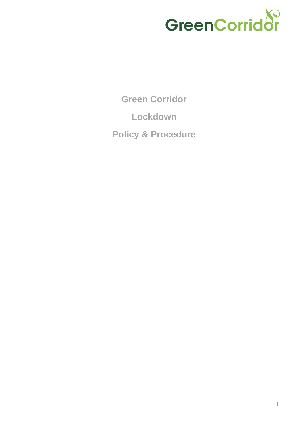

**Green Corridor Lockdown Policy & Procedure**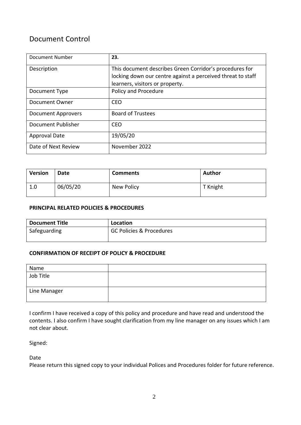# Document Control

| Document Number           | 23.                                                         |  |
|---------------------------|-------------------------------------------------------------|--|
| Description               | This document describes Green Corridor's procedures for     |  |
|                           | locking down our centre against a perceived threat to staff |  |
|                           | learners, visitors or property.                             |  |
| Document Type             | Policy and Procedure                                        |  |
| Document Owner            | CEO                                                         |  |
| <b>Document Approvers</b> | <b>Board of Trustees</b>                                    |  |
| Document Publisher        | CEO                                                         |  |
| <b>Approval Date</b>      | 19/05/20                                                    |  |
| Date of Next Review       | November 2022                                               |  |

| <b>Version</b> | Date     | <b>Comments</b> | <b>Author</b> |
|----------------|----------|-----------------|---------------|
| 1.0            | 06/05/20 | New Policy      | T Knight      |

#### **PRINCIPAL RELATED POLICIES & PROCEDURES**

| <b>Document Title</b> | Location                            |
|-----------------------|-------------------------------------|
| Safeguarding          | <b>GC Policies &amp; Procedures</b> |
|                       |                                     |

### **CONFIRMATION OF RECEIPT OF POLICY & PROCEDURE**

| Name         |  |
|--------------|--|
| Job Title    |  |
| Line Manager |  |

I confirm I have received a copy of this policy and procedure and have read and understood the contents. I also confirm I have sought clarification from my line manager on any issues which I am not clear about.

Signed:

Date

Please return this signed copy to your individual Polices and Procedures folder for future reference.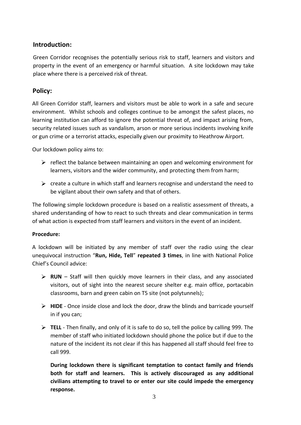# **Introduction:**

Green Corridor recognises the potentially serious risk to staff, learners and visitors and property in the event of an emergency or harmful situation. A site lockdown may take place where there is a perceived risk of threat.

## **Policy:**

All Green Corridor staff, learners and visitors must be able to work in a safe and secure environment. Whilst schools and colleges continue to be amongst the safest places, no learning institution can afford to ignore the potential threat of, and impact arising from, security related issues such as vandalism, arson or more serious incidents involving knife or gun crime or a terrorist attacks, especially given our proximity to Heathrow Airport.

Our lockdown policy aims to:

- $\triangleright$  reflect the balance between maintaining an open and welcoming environment for learners, visitors and the wider community, and protecting them from harm;
- $\triangleright$  create a culture in which staff and learners recognise and understand the need to be vigilant about their own safety and that of others.

The following simple lockdown procedure is based on a realistic assessment of threats, a shared understanding of how to react to such threats and clear communication in terms of what action is expected from staff learners and visitors in the event of an incident.

### **Procedure:**

A lockdown will be initiated by any member of staff over the radio using the clear unequivocal instruction "**Run, Hide, Tell**" **repeated 3 times**, in line with National Police Chief's Council advice:

- **RUN** Staff will then quickly move learners in their class, and any associated visitors, out of sight into the nearest secure shelter e.g. main office, portacabin classrooms, barn and green cabin on T5 site (not polytunnels);
- **HIDE** Once inside close and lock the door, draw the blinds and barricade yourself in if you can;
- **TELL** Then finally, and only of it is safe to do so, tell the police by calling 999. The member of staff who initiated lockdown should phone the police but if due to the nature of the incident its not clear if this has happened all staff should feel free to call 999.

**During lockdown there is significant temptation to contact family and friends both for staff and learners. This is actively discouraged as any additional civilians attempting to travel to or enter our site could impede the emergency response.**